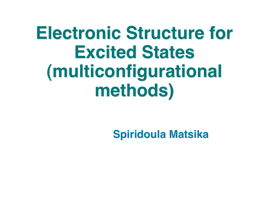# **Electronic Structure for Electronic Structure for Excited States Excited States (multiconfigurational multiconfigurational methods) methods)**

**Spiridoula Matsika Spiridoula Matsika**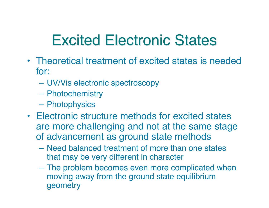#### **Excited Electronic States**

- Theoretical treatment of excited states is needed for:
	- UV/Vis electronic spectroscopy
	- Photochemistry
	- Photophysics
- Electronic structure methods for excited states are more challenging and not at the same stage of advancement as ground state methods
	- Need balanced treatment of more than one states that may be very different in character
	- The problem becomes even more complicated when moving away from the ground state equilibrium geometry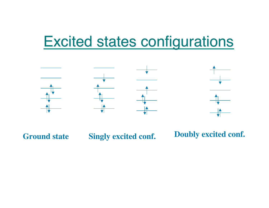#### **Excited states configurations**



Ground state Singly excited conf. Doubly excited conf.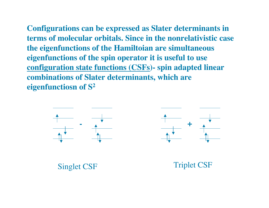**Configurations can be expressed as Slater determinants in terms of molecular orbitals. Since in the nonrelativistic case the eigenfunctions of the Hamiltoian are simultaneous eigenfunctions of the spin operator it is useful to use configuration state functions (CSFs)- spin adapted linear combinations of Slater determinants, which are eigenfunctiosn of S2**

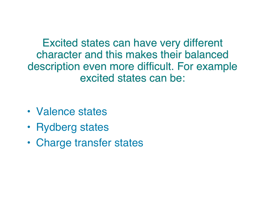Excited states can have very different character and this makes their balanced description even more difficult. For example excited states can be:

- Valence states
- Rydberg states
- Charge transfer states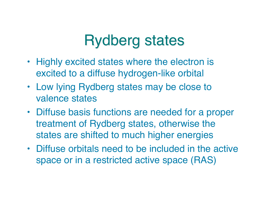#### **Rydberg states**

- Highly excited states where the electron is excited to a diffuse hydrogen-like orbital
- Low lying Rydberg states may be close to valence states
- Diffuse basis functions are needed for a proper treatment of Rydberg states, otherwise the states are shifted to much higher energies
- Diffuse orbitals need to be included in the active space or in a restricted active space (RAS)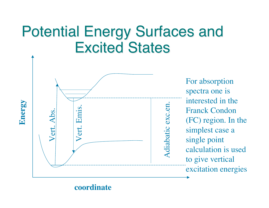#### Potential Energy Surfaces and Excited Excited States



For absorption spectra one is interested in the Franck Condon (FC) region. In the simplest case a single point calculation is used to give vertical excitation energies

**coordinate**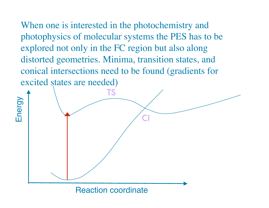When one is interested in the photochemistry and photophysics of molecular systems the PES has to be explored not only in the FC region but also along distorted geometries. Minima, transition states, and conical intersections need to be found (gradients for excited states are needed)



Reaction coordinate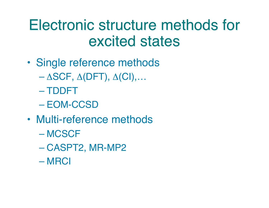#### Electronic structure methods for excited states

- Single reference methods
	- $-\Delta SCF$ ,  $\Delta (DFT)$ ,  $\Delta (CI)$ ,...
	- TDDFT
	- EOM-CCSD
- Multi-reference methods
	- MCSCF
	- CASPT2, MR-MP2
	- MRCI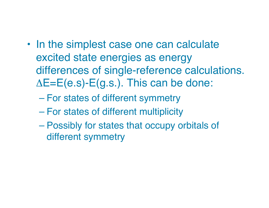- In the simplest case one can calculate excited state energies as energy differences of single-reference calculations.  $\Delta E=E(e.s)\text{-}E(g.s.)$ . This can be done:
	- For states of different symmetry
	- For states of different multiplicity
	- Possibly for states that occupy orbitals of different symmetry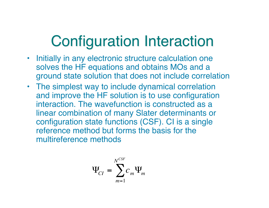#### **Configuration Interaction**

- Initially in any electronic structure calculation one solves the HF equations and obtains MOs and a ground state solution that does not include correlation
- The simplest way to include dynamical correlation and improve the HF solution is to use configuration interaction. The wavefunction is constructed as a linear combination of many Slater determinants or configuration state functions (CSF). CI is a single reference method but forms the basis for the multireference methods

$$
\Psi_{CI} = \sum_{m=1}^{N^{CSF}} c_m \Psi_m
$$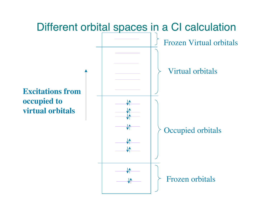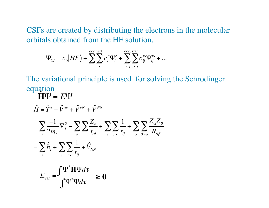CSFs are created by distributing the electrons in the molecular orbitals obtained from the HF solution.

$$
\Psi_{CI} = c_0 |HF\rangle + \sum_{i}^{occ} \sum_{r}^{virt.} c_i^{r} \Psi_i^{r} + \sum_{i < j}^{occ. \, virt.} \sum_{r < s} c_{ij}^{rs} \Psi_{ij}^{rs} + \dots
$$

The variational principle is used for solving the Schrodinger equation  $H\Psi = E\Psi$ 

$$
\hat{H} = \hat{T}^e + \hat{V}^{ee} + \hat{V}^{eN} + \hat{V}^{NN}
$$
\n
$$
= \sum_{i} \frac{-1}{2m_e} \nabla_i^2 - \sum_{\alpha} \sum_{i} \frac{Z_{\alpha}}{r_{\alpha i}} + \sum_{i} \sum_{j>i} \frac{1}{r_{ij}} + \sum_{\alpha} \sum_{\beta > \alpha} \frac{Z_{\alpha} Z_{\beta}}{R_{\alpha \beta}}
$$
\n
$$
= \sum_{i} \hat{h}_i + \sum_{i} \sum_{j>i} \frac{1}{r_{ij}} + \hat{V}_{NN}
$$
\n
$$
E_{\text{var}} = \frac{\int \Psi^* \hat{H} \Psi d\tau}{\int \Psi^* \Psi d\tau} \ge 0
$$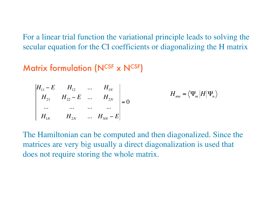For a linear trial function the variational principle leads to solving the secular equation for the CI coefficients or diagonalizing the H matrix

#### Matrix formulation ( $N^{CSF}$  x  $N^{CSF}$ )

$$
H_{11} - E \t H_{12} \t ... \t H_{1N} \t H_{22} - E \t ... \t H_{2N} \t = 0
$$
  
\n... ... ...  
\n
$$
H_{1N} \t H_{2N} \t ... \t H_{NN} - E
$$
\n
$$
= 0
$$

The Hamiltonian can be computed and then diagonalized. Since the matrices are very big usually a direct diagonalization is used that does not require storing the whole matrix.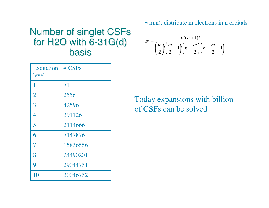•(m,n): distribute m electrons in n orbitals

#### **Number of singlet CSFs** for H2O with 6-31G(d)  $N = \frac{n!(n+1)!}{(m)!(m-1)!(n-m)!}$ basis

| <b>Excitation</b> | # CSFs   |  |
|-------------------|----------|--|
| level             |          |  |
| 1                 | 71       |  |
| $\overline{2}$    | 2556     |  |
| 3                 | 42596    |  |
| $\overline{4}$    | 391126   |  |
| 5                 | 2114666  |  |
| 6                 | 7147876  |  |
| $\overline{7}$    | 15836556 |  |
| 8                 | 24490201 |  |
| 9                 | 29044751 |  |
| 10                | 30046752 |  |

2  $\setminus$  $\overline{\phantom{a}}$ 2  $\setminus$ Į 2  $\setminus$ Į 2  $\setminus$ Į

 $\left| \cdot \right| n - \frac{m}{2}$ 

 $\left(n-\frac{m}{2}\right)$ 

 $\left| \cdot \right| n - \frac{m}{2}$ 

 $\left(n-\frac{m}{2}+1\right)$ 

 $\left(n-\frac{m}{2}+1\right)$ 

!

 $\sqrt{}$ 

*m*

 $\left(\frac{m}{2}\right)$ 

 $\left| \cdot \right| \frac{m}{2}$ 

 $\left(\frac{m}{2}+1\right)$ 

 $\left(\frac{m}{2}+1\right)$ 

ĺ

Today expansions with billion of CSFs can be solved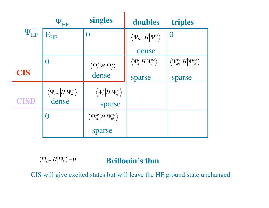|                 | $\Psi_{\rm HF}$                                                                                                                    | singles                                                                       | doubles                                                                                                                            | triples                                                                                                                                        |
|-----------------|------------------------------------------------------------------------------------------------------------------------------------|-------------------------------------------------------------------------------|------------------------------------------------------------------------------------------------------------------------------------|------------------------------------------------------------------------------------------------------------------------------------------------|
| $\Psi_{\rm HF}$ | $\mathbf{E}_{\text{HF}}$                                                                                                           | $\Omega$                                                                      | $\left\langle \Psi_{\!\scriptscriptstyle H\!F}\left  H\right  \Psi_{\!\scriptscriptstyle ij}^{\scriptscriptstyle rs}\right\rangle$ | $\Omega$                                                                                                                                       |
|                 |                                                                                                                                    |                                                                               | dense                                                                                                                              |                                                                                                                                                |
|                 | 0                                                                                                                                  | $\left\langle \Psi^r_i \left  H \right  \Psi^s_j \right\rangle$               | $\left\langle \Psi _{k}^{t}\left\vert H\right\vert \Psi _{ij}^{rs}\right\rangle$                                                   | $\left\langle \Psi_{\scriptscriptstyle \text{lm}}^{qp}\left  H\right  \Psi_{\scriptscriptstyle i j k}^{\scriptscriptstyle r s t}\right\rangle$ |
| <b>CIS</b>      |                                                                                                                                    | dense                                                                         | sparse                                                                                                                             | sparse                                                                                                                                         |
|                 | $\left\langle \Psi_{\!\scriptscriptstyle H\!F}\left  H\right  \Psi_{\!\scriptscriptstyle ij}^{\scriptscriptstyle rs}\right\rangle$ | $\left\langle \Psi_k^t\left  H\right  \Psi_{ij}^{rs}\right\rangle$            |                                                                                                                                    |                                                                                                                                                |
| <b>CISD</b>     | dense                                                                                                                              | sparse                                                                        |                                                                                                                                    |                                                                                                                                                |
|                 |                                                                                                                                    | $\left\langle \Psi_{_{lm}}^{qp}\left  H\right  \Psi_{ijk}^{rst}\right\rangle$ |                                                                                                                                    |                                                                                                                                                |
|                 |                                                                                                                                    | sparse                                                                        |                                                                                                                                    |                                                                                                                                                |

 $\Psi_{HF}$   $\left|H\right|\Psi_{i}^{r}\right\rangle =0$ **Brillouin's thm**

CIS will give excited states but will leave the HF ground state unchanged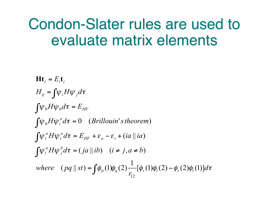#### Condon-Slater rules are used to evaluate matrix elements

 $\oint_{\mathcal{P}} (1) \phi_a(2) \frac{1}{\pi} [\phi_s(1) \phi_t(2) - \phi_s(2) \phi_t(1)] d\tau$  $\partial \psi_i^a H \psi_j^b d\tau = (ja \parallel ib) \quad (i \neq j, a \neq b)$  $\int d^a \psi_i^a H \psi_i^a d\tau = E_{HF} + \varepsilon_a - \varepsilon_i + (ia \parallel ia \parallel i\omega)$  $\int \psi_0 H \psi_i^a d\tau = 0$  (*Brillouin's theorem*  $\int \psi_0 H \psi_0 d\tau = E_{\rm HF}$  $H_{ij} = \int \psi_i H \psi_j d\tau$ *r*  $where \quad (pq \parallel st) = \int_{0}^{\infty} \phi_p(1) \phi_q(2) \frac{1}{\phi_s(1)} [\phi_s(1) \phi_t(2) - \phi_s(2) \phi_t(1)]$  $Ht_i = E_i t_i$ *j a*  $\int \psi_i^a H \psi_j^b d\tau = (ja || ib) \quad (i \neq j, a \neq b)$ *a i a*  $\int \psi_i^a H \psi_i^a d\tau = E_{HF} + \varepsilon_a - \varepsilon_i + (ia \parallel ia)$  $\int \psi_0 H \psi_i^a d\tau = 0$  (Brillouin's theorem) 12  $=\int \!\phi_p(1)\phi_q(2) - \int_{r_{12}} \!\phi_s(1)\phi_t(2) -$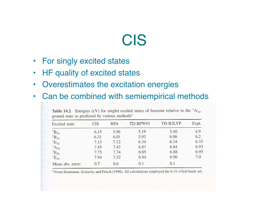#### CIS

- For singly excited states
- HF quality of excited states
- Overestimates the excitation energies
- Can be combined with semiempirical methods

| <b>Excited</b> state | <b>CIS</b> | <b>RPA</b> | TD-BPW91 | TD-B3LYP | Expt. |
|----------------------|------------|------------|----------|----------|-------|
| $B_{2u}$             | 6.15       | 5.96       | 5.19     | 5.40     | 4.9   |
| ${}^{1}B_{1u}$       | 6.31       | 6.01       | 5.93     | 6.06     | 6.2   |
| $E_{1g}$             | 7.13       | 7.12       | 6.34     | 6.34     | 6.33  |
| $^1A_{2u}$           | 7.45       | 7.43       | 6.87     | 6.84     | 6.93  |
| ${}^{1}E_{2u}$       | 7.75       | 7.74       | 6.85     | 6.88     | 6.95  |
| ${}^{1}E_{1u}$       | 7.94       | 7.52       | 6.84     | 6.96     | 7.0   |
| Mean abs. error:     | 0.7        | 0.6        | 0.1      | 0.1      |       |

**Table 14.2** Energies (eV) for singlet excited states of benzene relative to the  ${}^{1}A_{1g}$ , ground state as predicted by various methods<sup>a</sup>

<sup>a</sup> From Stratmann, Scuseria, and Frisch (1998). All calculations employed the  $6-31+G(d)$  basis set.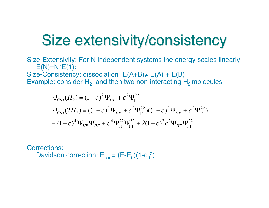## Size extensivity/consistency

Size-Extensivity: For N independent systems the energy scales linearly  $E(N)=N^*E(1)$ : Size-Consistency: dissociation  $E(A+B) \neq E(A) + E(B)$ Example: consider  $H_2$  and then two non-interacting  $H_2$  molecules

$$
\Psi_{CID}(H_2) = (1 - c)^2 \Psi_{HF} + c^2 \Psi_{11}^{2\overline{2}}
$$
  
\n
$$
\Psi_{CID}(2H_2) = ((1 - c)^2 \Psi_{HF} + c^2 \Psi_{11}^{2\overline{2}})((1 - c)^2 \Psi_{HF} + c^2 \Psi_{11}^{2\overline{2}})
$$
  
\n
$$
= (1 - c)^4 \Psi_{HF} \Psi_{HF} + c^4 \Psi_{11}^{2\overline{2}} \Psi_{11}^{2\overline{2}} + 2(1 - c)^2 c^2 \Psi_{HF} \Psi_{11}^{2\overline{2}}
$$

Corrections:

Davidson correction:  $E_{cor} = (E-E_0)(1-c_0^2)$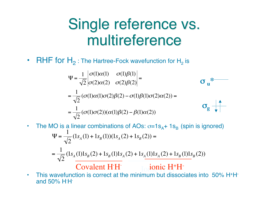#### Single reference vs. multireference

• RHF for  $H_2$ : The Hartree-Fock wavefunction for  $H_2$  is

$$
\Psi = \frac{1}{\sqrt{2}} \begin{vmatrix} \sigma(1)\alpha(1) & \sigma(1)\beta(1) \\ \sigma(2)\alpha(2) & \sigma(2)\beta(2) \end{vmatrix} = \frac{1}{\sqrt{2}} (\sigma(1)\alpha(1)\sigma(2)\beta(2) - \sigma(1)\beta(1)\sigma(2)\alpha(2)) = \frac{1}{\sqrt{2}} (\sigma(1)\sigma(2))(\alpha(1)\beta(2) - \beta(1)\alpha(2)) \qquad \mathbf{\sigma_g} \downarrow 0
$$

• The MO is a linear combinations of AOs:  $\sigma = 1s_A + 1s_B$  (spin is ignored)  $\Psi = \frac{1}{\sqrt{2}}$ 2  $(1s_A(1) + 1s_B(1))(1s_A(2) + 1s_B(2)) =$  $=\frac{1}{\sqrt{2}}$ 2  $(1s_A(1)1s_B(2) + 1s_B(1)1s_A(2) + 1s_A(1)1s_A(2) + 1s_B(1)1s_B(2))$ 

Covalent H<sup>·</sup>H<sup>·</sup> Ionic H<sup>+</sup>H<sup>-</sup>

• This wavefunction is correct at the minimum but dissociates into 50% H<sup>+</sup>H<sup>-</sup> and 50% H· H·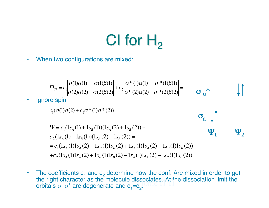# CI for  $H<sub>2</sub>$

• When two configurations are mixed:

$$
\Psi_{CI} = c_1 \begin{vmatrix} \sigma(1)\alpha(1) & \sigma(1)\beta(1) \\ \sigma(2)\alpha(2) & \sigma(2)\beta(2) \end{vmatrix} + c_2 \begin{vmatrix} \sigma^*(1)\alpha(1) & \sigma^*(1)\beta(1) \\ \sigma^*(2)\alpha(2) & \sigma^*(2)\beta(2) \end{vmatrix} = \sigma_u^*
$$
\n
$$
\mathbf{q} = c_1(\sigma(1)\sigma(2) + c_2\sigma^*(1)\sigma^*(2))
$$
\n
$$
\Psi = c_1(1s_A(1) + 1s_B(1))(1s_A(2) + 1s_B(2)) + c_2(1s_A(1) - 1s_B(1))(1s_A(2) - 1s_B(2)) =
$$
\n
$$
= c_1(1s_A(1)1s_A(2) + 1s_B(1)1s_B(2) + 1s_A(1)1s_A(2) + 1s_B(1)1s_B(2)) + c_2(1s_A(1)1s_A(2) + 1s_B(1)1s_B(2) - 1s_A(1)1s_A(2) - 1s_B(1)1s_B(2))
$$

• The coefficients  $c_1$  and  $c_2$  determine how the conf. Are mixed in order to get the right character as the molecule dissociates. At the dissociation limit the orbitals  $\sigma$ ,  $\sigma^*$  are degenerate and  $c_4 = c_5$ . orbitals  $\sigma$ ,  $\sigma^*$  are degenerate and  $c_1 = c_2$ .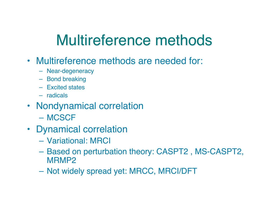#### Multireference methods

- Multireference methods are needed for:
	- Near-degeneracy
	- Bond breaking
	- Excited states
	- radicals
- Nondynamical correlation
	- MCSCF
- Dynamical correlation
	- Variational: MRCI
	- Based on perturbation theory: CASPT2 , MS-CASPT2, MRMP2
	- Not widely spread yet: MRCC, MRCI/DFT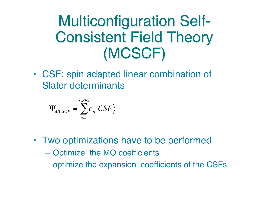#### **Multiconfiguration Self-Consistent Field Theory** (MCSCF) (MCSCF)

• CSF: spin adapted linear combination of Slater determinants

$$
\Psi_{MCSCF} = \sum_{n=1}^{CSFs} c_n |CSF\rangle
$$

- Two optimizations have to be performed
	- Optimize the MO coefficients
	- optimize the expansion coefficients of the CSFs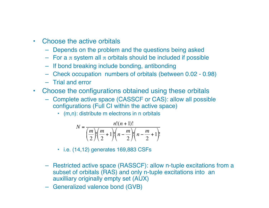- Choose the active orbitals
	- Depends on the problem and the questions being asked
	- For a π system all π orbitals should be included if possible
	- If bond breaking include bonding, antibonding
	- Check occupation numbers of orbitals (between 0.02 0.98)
	- Trial and error
- Choose the configurations obtained using these orbitals
	- Complete active space (CASSCF or CAS): allow all possible configurations (Full CI within the active space)
		- (m,n): distribute m electrons in n orbitals

$$
N = \frac{n!(n+1)!}{\left(\frac{m}{2}\right)!\left(\frac{m}{2}+1\right)!\left(n-\frac{m}{2}\right)!\left(n-\frac{m}{2}+1\right)!}
$$

- i.e. (14,12) generates 169,883 CSFs
- Restricted active space (RASSCF): allow n-tuple excitations from a subset of orbitals (RAS) and only n-tuple excitations into an auxilliary originally empty set (AUX)
- Generalized valence bond (GVB)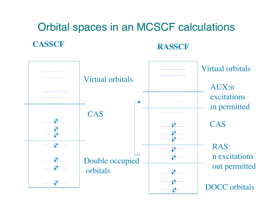#### **CASSCF RASSCF** Orbital spaces in an MCSCF calculations

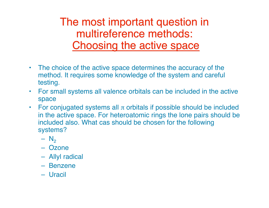The most important question in multireference methods: Choosing the active space

- The choice of the active space determines the accuracy of the method. It requires some knowledge of the system and careful testing.
- For small systems all valence orbitals can be included in the active space
- For conjugated systems all  $\pi$  orbitals if possible should be included in the active space. For heteroatomic rings the lone pairs should be included also. What cas should be chosen for the following systems?
	- $N<sub>2</sub>$
	- Ozone
	- Allyl radical
	- Benzene
	- Uracil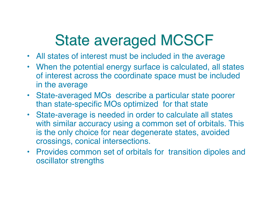## State averaged MCSCF

- All states of interest must be included in the average
- When the potential energy surface is calculated, all states of interest across the coordinate space must be included in the average
- State-averaged MOs describe a particular state poorer than state-specific MOs optimized for that state
- State-average is needed in order to calculate all states with similar accuracy using a common set of orbitals. This is the only choice for near degenerate states, avoided crossings, conical intersections.
- Provides common set of orbitals for transition dipoles and oscillator strengths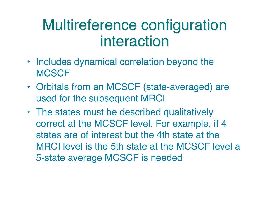#### Multireference configuration interaction

- Includes dynamical correlation beyond the **MCSCF**
- Orbitals from an MCSCF (state-averaged) are used for the subsequent MRCI
- The states must be described qualitatively correct at the MCSCF level. For example, if 4 states are of interest but the 4th state at the MRCI level is the 5th state at the MCSCF level a 5-state average MCSCF is needed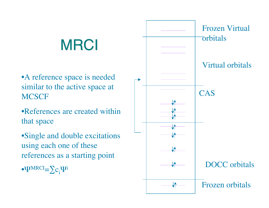# **MRCI**

•A reference space is needed similar to the active space at **MCSCF** 

•References are created within that space

•Single and double excitations using each one of these references as a starting point

 $\bullet \Psi^{\text{MRCI}} = \sum c_i \Psi^i$ 

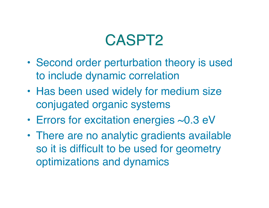#### CASPT2

- Second order perturbation theory is used to include dynamic correlation
- Has been used widely for medium size conjugated organic systems
- Errors for excitation energies ~0.3 eV
- There are no analytic gradients available so it is difficult to be used for geometry optimizations and dynamics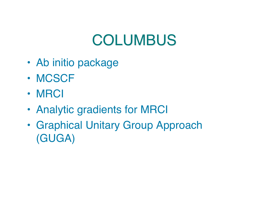## **COLUMBUS**

- Ab initio package
- MCSCF
- MRCI
- Analytic gradients for MRCI
- Graphical Unitary Group Approach (GUGA)